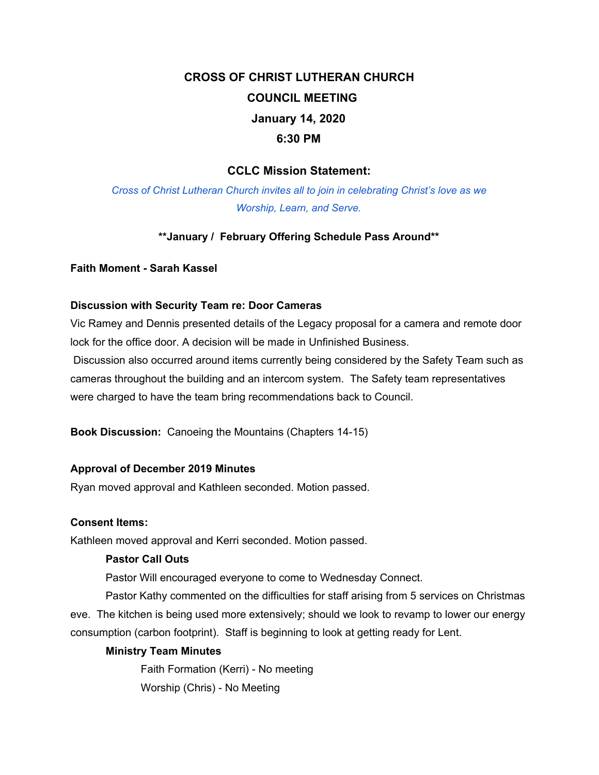# **CROSS OF CHRIST LUTHERAN CHURCH COUNCIL MEETING January 14, 2020 6:30 PM**

## **CCLC Mission Statement:**

*Cross of Christ Lutheran Church invites all to join in celebrating Christ's love as we Worship, Learn, and Serve.*

## **\*\*January / February Offering Schedule Pass Around\*\***

#### **Faith Moment - Sarah Kassel**

#### **Discussion with Security Team re: Door Cameras**

Vic Ramey and Dennis presented details of the Legacy proposal for a camera and remote door lock for the office door. A decision will be made in Unfinished Business.

Discussion also occurred around items currently being considered by the Safety Team such as cameras throughout the building and an intercom system. The Safety team representatives were charged to have the team bring recommendations back to Council.

**Book Discussion:** Canoeing the Mountains (Chapters 14-15)

#### **Approval of December 2019 Minutes**

Ryan moved approval and Kathleen seconded. Motion passed.

#### **Consent Items:**

Kathleen moved approval and Kerri seconded. Motion passed.

#### **Pastor Call Outs**

Pastor Will encouraged everyone to come to Wednesday Connect.

Pastor Kathy commented on the difficulties for staff arising from 5 services on Christmas eve. The kitchen is being used more extensively; should we look to revamp to lower our energy consumption (carbon footprint). Staff is beginning to look at getting ready for Lent.

## **Ministry Team Minutes**

Faith Formation (Kerri) - No meeting Worship (Chris) - No Meeting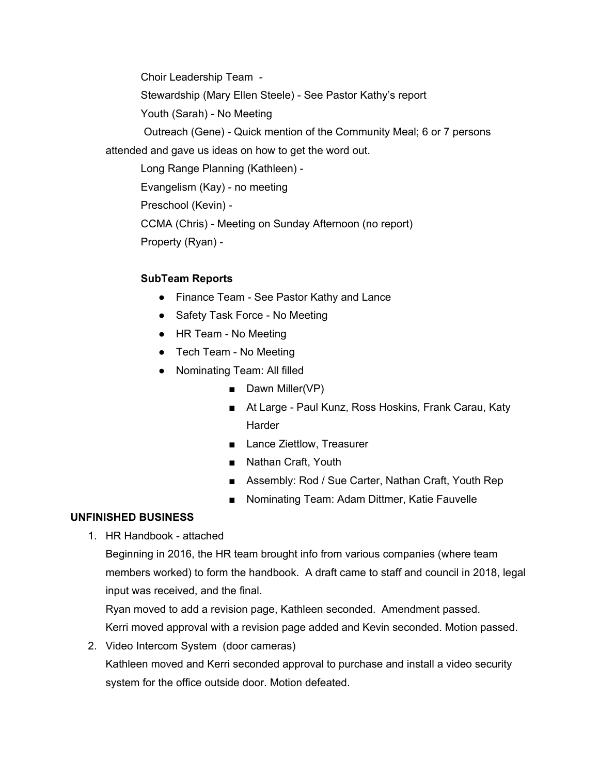Choir Leadership Team - Stewardship (Mary Ellen Steele) - See Pastor Kathy's report Youth (Sarah) - No Meeting Outreach (Gene) - Quick mention of the Community Meal; 6 or 7 persons attended and gave us ideas on how to get the word out. Long Range Planning (Kathleen) - Evangelism (Kay) - no meeting

Preschool (Kevin) -

CCMA (Chris) - Meeting on Sunday Afternoon (no report)

Property (Ryan) -

# **SubTeam Reports**

- Finance Team See Pastor Kathy and Lance
- Safety Task Force No Meeting
- HR Team No Meeting
- Tech Team No Meeting
- Nominating Team: All filled
	- Dawn Miller(VP)
	- At Large Paul Kunz, Ross Hoskins, Frank Carau, Katy **Harder**
	- Lance Ziettlow, Treasurer
	- Nathan Craft, Youth
	- Assembly: Rod / Sue Carter, Nathan Craft, Youth Rep
	- Nominating Team: Adam Dittmer, Katie Fauvelle

# **UNFINISHED BUSINESS**

1. HR Handbook - attached

Beginning in 2016, the HR team brought info from various companies (where team members worked) to form the handbook. A draft came to staff and council in 2018, legal input was received, and the final.

Ryan moved to add a revision page, Kathleen seconded. Amendment passed. Kerri moved approval with a revision page added and Kevin seconded. Motion passed.

2. Video Intercom System (door cameras) Kathleen moved and Kerri seconded approval to purchase and install a video security system for the office outside door. Motion defeated.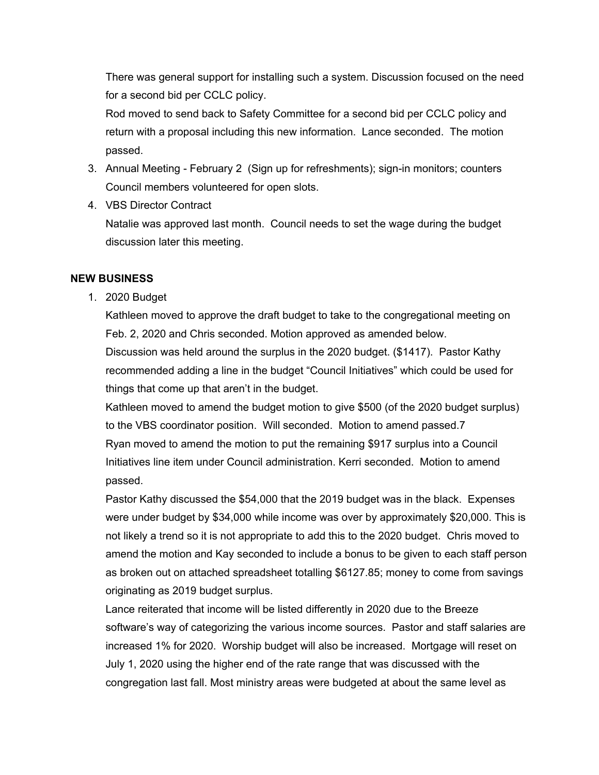There was general support for installing such a system. Discussion focused on the need for a second bid per CCLC policy.

Rod moved to send back to Safety Committee for a second bid per CCLC policy and return with a proposal including this new information. Lance seconded. The motion passed.

- 3. Annual Meeting February 2 (Sign up for refreshments); sign-in monitors; counters Council members volunteered for open slots.
- 4. VBS Director Contract

Natalie was approved last month. Council needs to set the wage during the budget discussion later this meeting.

#### **NEW BUSINESS**

1. 2020 Budget

Kathleen moved to approve the draft budget to take to the congregational meeting on Feb. 2, 2020 and Chris seconded. Motion approved as amended below.

Discussion was held around the surplus in the 2020 budget. (\$1417). Pastor Kathy recommended adding a line in the budget "Council Initiatives" which could be used for things that come up that aren't in the budget.

Kathleen moved to amend the budget motion to give \$500 (of the 2020 budget surplus) to the VBS coordinator position. Will seconded. Motion to amend passed.7 Ryan moved to amend the motion to put the remaining \$917 surplus into a Council Initiatives line item under Council administration. Kerri seconded. Motion to amend passed.

Pastor Kathy discussed the \$54,000 that the 2019 budget was in the black. Expenses were under budget by \$34,000 while income was over by approximately \$20,000. This is not likely a trend so it is not appropriate to add this to the 2020 budget. Chris moved to amend the motion and Kay seconded to include a bonus to be given to each staff person as broken out on attached spreadsheet totalling \$6127.85; money to come from savings originating as 2019 budget surplus.

Lance reiterated that income will be listed differently in 2020 due to the Breeze software's way of categorizing the various income sources. Pastor and staff salaries are increased 1% for 2020. Worship budget will also be increased. Mortgage will reset on July 1, 2020 using the higher end of the rate range that was discussed with the congregation last fall. Most ministry areas were budgeted at about the same level as